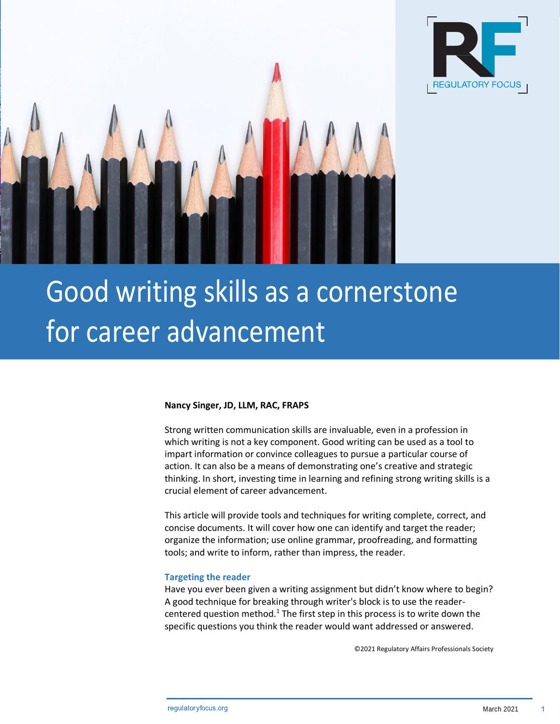



# Good writing skills as a cornerstone for career advancement

## **Nancy Singer, JD, LLM, RAC, FRAPS**

Strong written communication skills are invaluable, even in a profession in which writing is not a key component. Good writing can be used as a tool to impart information or convince colleagues to pursue a particular course of action. It can also be a means of demonstrating one's creative and strategic thinking. In short, investing time in learning and refining strong writing skills is a crucial element of career advancement.

This article will provide tools and techniques for writing complete, correct, and concise documents. It will cover how one can identify and target the reader; organize the information; use online grammar, proofreading, and formatting tools; and write to inform, rather than impress, the reader.

## **Targeting the reader**

Have you ever been given a writing assignment but didn't know where to begin? A good technique for breaking through writer's block is to use the readercentered question method.<sup>1</sup> The first step in this process is to write down the specific questions you think the reader would want addressed or answered.

©2021 Regulatory Affairs Professionals Society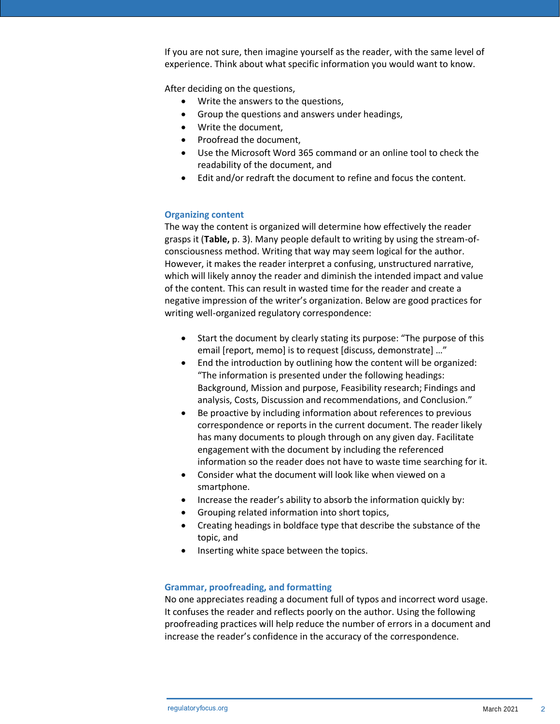If you are not sure, then imagine yourself as the reader, with the same level of experience. Think about what specific information you would want to know.

After deciding on the questions,

- Write the answers to the questions,
- Group the questions and answers under headings,
- Write the document,
- Proofread the document,
- Use the Microsoft Word 365 command or an online tool to check the readability of the document, and
- Edit and/or redraft the document to refine and focus the content.

# **Organizing content**

The way the content is organized will determine how effectively the reader grasps it (**Table,** p. 3). Many people default to writing by using the stream-ofconsciousness method. Writing that way may seem logical for the author. However, it makes the reader interpret a confusing, unstructured narrative, which will likely annoy the reader and diminish the intended impact and value of the content. This can result in wasted time for the reader and create a negative impression of the writer's organization. Below are good practices for writing well-organized regulatory correspondence:

- Start the document by clearly stating its purpose: "The purpose of this email [report, memo] is to request [discuss, demonstrate] …"
- End the introduction by outlining how the content will be organized: "The information is presented under the following headings: Background, Mission and purpose, Feasibility research; Findings and analysis, Costs, Discussion and recommendations, and Conclusion."
- Be proactive by including information about references to previous correspondence or reports in the current document. The reader likely has many documents to plough through on any given day. Facilitate engagement with the document by including the referenced information so the reader does not have to waste time searching for it.
- Consider what the document will look like when viewed on a smartphone.
- Increase the reader's ability to absorb the information quickly by:
- Grouping related information into short topics,
- Creating headings in boldface type that describe the substance of the topic, and
- Inserting white space between the topics.

# **Grammar, proofreading, and formatting**

No one appreciates reading a document full of typos and incorrect word usage. It confuses the reader and reflects poorly on the author. Using the following proofreading practices will help reduce the number of errors in a document and increase the reader's confidence in the accuracy of the correspondence.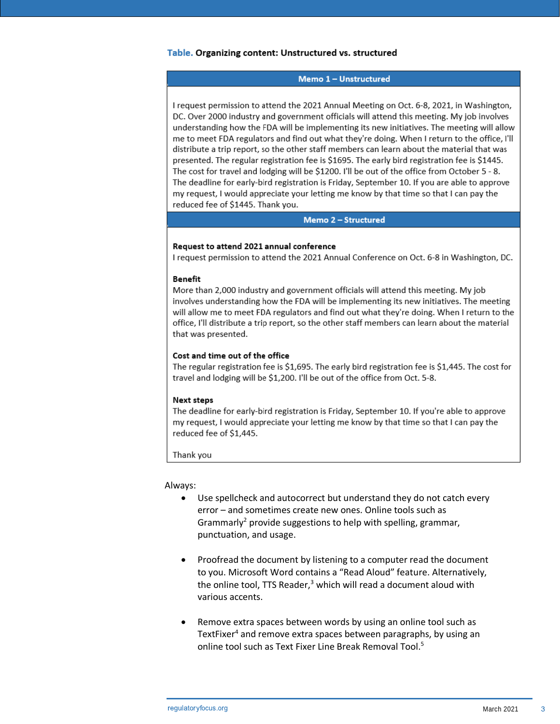# Table. Organizing content: Unstructured vs. structured

### Memo 1 - Unstructured

I request permission to attend the 2021 Annual Meeting on Oct. 6-8, 2021, in Washington, DC. Over 2000 industry and government officials will attend this meeting. My job involves understanding how the FDA will be implementing its new initiatives. The meeting will allow me to meet FDA regulators and find out what they're doing. When I return to the office, I'll distribute a trip report, so the other staff members can learn about the material that was presented. The regular registration fee is \$1695. The early bird registration fee is \$1445. The cost for travel and lodging will be \$1200. I'll be out of the office from October 5 - 8. The deadline for early-bird registration is Friday, September 10. If you are able to approve my request, I would appreciate your letting me know by that time so that I can pay the reduced fee of \$1445. Thank you.

### Memo 2 - Structured

## Request to attend 2021 annual conference

I request permission to attend the 2021 Annual Conference on Oct. 6-8 in Washington, DC.

## Benefit

More than 2,000 industry and government officials will attend this meeting. My job involves understanding how the FDA will be implementing its new initiatives. The meeting will allow me to meet FDA regulators and find out what they're doing. When I return to the office, I'll distribute a trip report, so the other staff members can learn about the material that was presented.

### Cost and time out of the office

The regular registration fee is \$1,695. The early bird registration fee is \$1,445. The cost for travel and lodging will be \$1,200. I'll be out of the office from Oct. 5-8.

#### Next steps

The deadline for early-bird registration is Friday, September 10. If you're able to approve my request, I would appreciate your letting me know by that time so that I can pay the reduced fee of \$1,445.

Thank you

#### Always:

- Use spellcheck and autocorrect but understand they do not catch every error – and sometimes create new ones. Online tools such as Grammarly<sup>2</sup> provide suggestions to help with spelling, grammar, punctuation, and usage.
- Proofread the document by listening to a computer read the document to you. Microsoft Word contains a "Read Aloud" feature. Alternatively, the online tool, TTS Reader, $3$  which will read a document aloud with various accents.
- Remove extra spaces between words by using an online tool such as TextFixer<sup>4</sup> and remove extra spaces between paragraphs, by using an online tool such as Text Fixer Line Break Removal Tool.<sup>5</sup>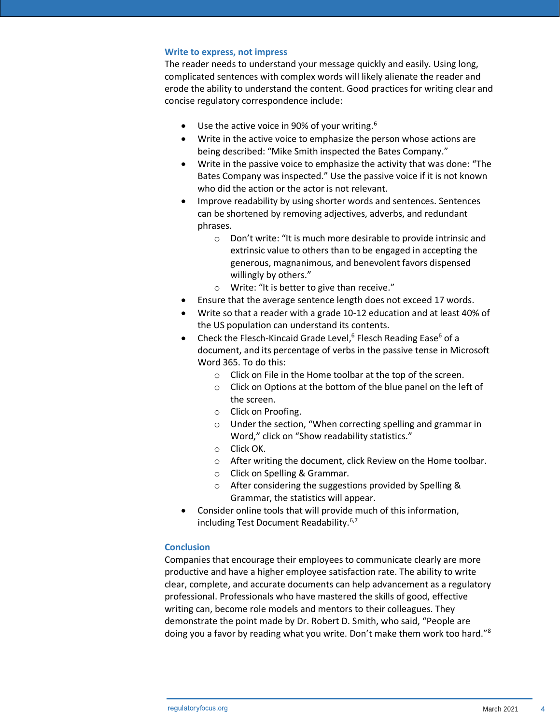## **Write to express, not impress**

The reader needs to understand your message quickly and easily. Using long, complicated sentences with complex words will likely alienate the reader and erode the ability to understand the content. Good practices for writing clear and concise regulatory correspondence include:

- Use the active voice in 90% of your writing. $6$
- Write in the active voice to emphasize the person whose actions are being described: "Mike Smith inspected the Bates Company."
- Write in the passive voice to emphasize the activity that was done: "The Bates Company was inspected." Use the passive voice if it is not known who did the action or the actor is not relevant.
- Improve readability by using shorter words and sentences. Sentences can be shortened by removing adjectives, adverbs, and redundant phrases.
	- o Don't write: "It is much more desirable to provide intrinsic and extrinsic value to others than to be engaged in accepting the generous, magnanimous, and benevolent favors dispensed willingly by others."
	- o Write: "It is better to give than receive."
- Ensure that the average sentence length does not exceed 17 words.
- Write so that a reader with a grade 10-12 education and at least 40% of the US population can understand its contents.
- Check the Flesch-Kincaid Grade Level,<sup>6</sup> Flesch Reading Ease<sup>6</sup> of a document, and its percentage of verbs in the passive tense in Microsoft Word 365. To do this:
	- o Click on File in the Home toolbar at the top of the screen.
	- o Click on Options at the bottom of the blue panel on the left of the screen.
	- o Click on Proofing.
	- o Under the section, "When correcting spelling and grammar in Word," click on "Show readability statistics."
	- o Click OK.
	- o After writing the document, click Review on the Home toolbar.
	- o Click on Spelling & Grammar.
	- o After considering the suggestions provided by Spelling & Grammar, the statistics will appear.
- Consider online tools that will provide much of this information, including Test Document Readability.<sup>6,7</sup>

# **Conclusion**

Companies that encourage their employees to communicate clearly are more productive and have a higher employee satisfaction rate. The ability to write clear, complete, and accurate documents can help advancement as a regulatory professional. Professionals who have mastered the skills of good, effective writing can, become role models and mentors to their colleagues. They demonstrate the point made by Dr. Robert D. Smith, who said, "People are doing you a favor by reading what you write. Don't make them work too hard."8